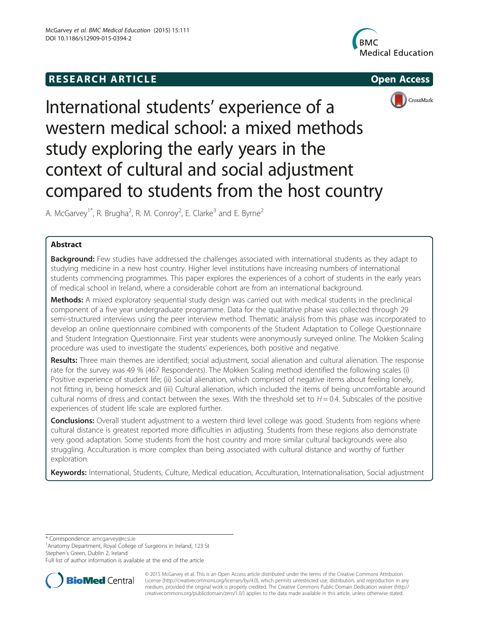# **RESEARCH ARTICLE Example 2018 12:00 THE OPEN ACCESS**







# International students' experience of a western medical school: a mixed methods study exploring the early years in the context of cultural and social adjustment compared to students from the host country

A. McGarvey<sup>1\*</sup>, R. Brugha<sup>2</sup>, R. M. Conroy<sup>2</sup>, E. Clarke<sup>3</sup> and E. Byrne<sup>2</sup>

# Abstract

**Background:** Few studies have addressed the challenges associated with international students as they adapt to studying medicine in a new host country. Higher level institutions have increasing numbers of international students commencing programmes. This paper explores the experiences of a cohort of students in the early years of medical school in Ireland, where a considerable cohort are from an international background.

Methods: A mixed exploratory sequential study design was carried out with medical students in the preclinical component of a five year undergraduate programme. Data for the qualitative phase was collected through 29 semi-structured interviews using the peer interview method. Thematic analysis from this phase was incorporated to develop an online questionnaire combined with components of the Student Adaptation to College Questionnaire and Student Integration Questionnaire. First year students were anonymously surveyed online. The Mokken Scaling procedure was used to investigate the students' experiences, both positive and negative.

Results: Three main themes are identified; social adjustment, social alienation and cultural alienation. The response rate for the survey was 49 % (467 Respondents). The Mokken Scaling method identified the following scales (i) Positive experience of student life; (ii) Social alienation, which comprised of negative items about feeling lonely, not fitting in, being homesick and (iii) Cultural alienation, which included the items of being uncomfortable around cultural norms of dress and contact between the sexes. With the threshold set to  $H = 0.4$ . Subscales of the positive experiences of student life scale are explored further.

Conclusions: Overall student adjustment to a western third level college was good. Students from regions where cultural distance is greatest reported more difficulties in adjusting. Students from these regions also demonstrate very good adaptation. Some students from the host country and more similar cultural backgrounds were also struggling. Acculturation is more complex than being associated with cultural distance and worthy of further exploration.

Keywords: International, Students, Culture, Medical education, Acculturation, Internationalisation, Social adjustment

\* Correspondence: [amcgarvey@rcsi.ie](mailto:amcgarvey@rcsi.ie) <sup>1</sup>

<sup>1</sup> Anatomy Department, Royal College of Surgeons in Ireland, 123 St Stephen's Green, Dublin 2, Ireland

Full list of author information is available at the end of the article



© 2015 McGarvey et al. This is an Open Access article distributed under the terms of the Creative Commons Attribution License (<http://creativecommons.org/licenses/by/4.0>), which permits unrestricted use, distribution, and reproduction in any medium, provided the original work is properly credited. The Creative Commons Public Domain Dedication waiver [\(http://](http://creativecommons.org/publicdomain/zero/1.0/) [creativecommons.org/publicdomain/zero/1.0/\)](http://creativecommons.org/publicdomain/zero/1.0/) applies to the data made available in this article, unless otherwise stated.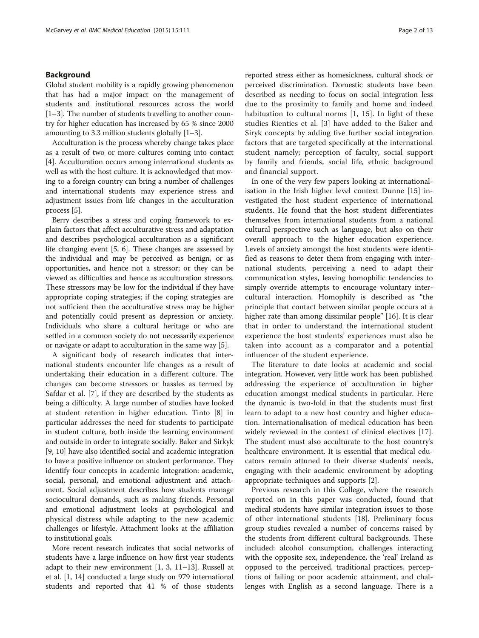#### Background

Global student mobility is a rapidly growing phenomenon that has had a major impact on the management of students and institutional resources across the world [[1](#page-12-0)–[3](#page-12-0)]. The number of students travelling to another country for higher education has increased by 65 % since 2000 amounting to 3.3 million students globally [\[1](#page-12-0)–[3\]](#page-12-0).

Acculturation is the process whereby change takes place as a result of two or more cultures coming into contact [[4\]](#page-12-0). Acculturation occurs among international students as well as with the host culture. It is acknowledged that moving to a foreign country can bring a number of challenges and international students may experience stress and adjustment issues from life changes in the acculturation process [\[5\]](#page-12-0).

Berry describes a stress and coping framework to explain factors that affect acculturative stress and adaptation and describes psychological acculturation as a significant life changing event [[5, 6](#page-12-0)]. These changes are assessed by the individual and may be perceived as benign, or as opportunities, and hence not a stressor; or they can be viewed as difficulties and hence as acculturation stressors. These stressors may be low for the individual if they have appropriate coping strategies; if the coping strategies are not sufficient then the acculturative stress may be higher and potentially could present as depression or anxiety. Individuals who share a cultural heritage or who are settled in a common society do not necessarily experience or navigate or adapt to acculturation in the same way [[5](#page-12-0)].

A significant body of research indicates that international students encounter life changes as a result of undertaking their education in a different culture. The changes can become stressors or hassles as termed by Safdar et al. [[7\]](#page-12-0), if they are described by the students as being a difficulty. A large number of studies have looked at student retention in higher education. Tinto [\[8](#page-12-0)] in particular addresses the need for students to participate in student culture, both inside the learning environment and outside in order to integrate socially. Baker and Sirkyk [[9, 10](#page-12-0)] have also identified social and academic integration to have a positive influence on student performance. They identify four concepts in academic integration: academic, social, personal, and emotional adjustment and attachment. Social adjustment describes how students manage sociocultural demands, such as making friends. Personal and emotional adjustment looks at psychological and physical distress while adapting to the new academic challenges or lifestyle. Attachment looks at the affiliation to institutional goals.

More recent research indicates that social networks of students have a large influence on how first year students adapt to their new environment  $[1, 3, 11-13]$  $[1, 3, 11-13]$  $[1, 3, 11-13]$  $[1, 3, 11-13]$  $[1, 3, 11-13]$  $[1, 3, 11-13]$  $[1, 3, 11-13]$  $[1, 3, 11-13]$  $[1, 3, 11-13]$ . Russell at et al. [\[1](#page-12-0), [14](#page-12-0)] conducted a large study on 979 international students and reported that 41 % of those students

reported stress either as homesickness, cultural shock or perceived discrimination. Domestic students have been described as needing to focus on social integration less due to the proximity to family and home and indeed habituation to cultural norms [[1, 15\]](#page-12-0). In light of these studies Rienties et al. [[3\]](#page-12-0) have added to the Baker and Siryk concepts by adding five further social integration factors that are targeted specifically at the international student namely; perception of faculty, social support by family and friends, social life, ethnic background and financial support.

In one of the very few papers looking at internationalisation in the Irish higher level context Dunne [[15\]](#page-12-0) investigated the host student experience of international students. He found that the host student differentiates themselves from international students from a national cultural perspective such as language, but also on their overall approach to the higher education experience. Levels of anxiety amongst the host students were identified as reasons to deter them from engaging with international students, perceiving a need to adapt their communication styles, leaving homophilic tendencies to simply override attempts to encourage voluntary intercultural interaction. Homophily is described as "the principle that contact between similar people occurs at a higher rate than among dissimilar people" [[16](#page-12-0)]. It is clear that in order to understand the international student experience the host students' experiences must also be taken into account as a comparator and a potential influencer of the student experience.

The literature to date looks at academic and social integration. However, very little work has been published addressing the experience of acculturation in higher education amongst medical students in particular. Here the dynamic is two-fold in that the students must first learn to adapt to a new host country and higher education. Internationalisation of medical education has been widely reviewed in the context of clinical electives [\[17](#page-12-0)]. The student must also acculturate to the host country's healthcare environment. It is essential that medical educators remain attuned to their diverse students' needs, engaging with their academic environment by adopting appropriate techniques and supports [\[2](#page-12-0)].

Previous research in this College, where the research reported on in this paper was conducted, found that medical students have similar integration issues to those of other international students [\[18](#page-12-0)]. Preliminary focus group studies revealed a number of concerns raised by the students from different cultural backgrounds. These included: alcohol consumption, challenges interacting with the opposite sex, independence, the 'real' Ireland as opposed to the perceived, traditional practices, perceptions of failing or poor academic attainment, and challenges with English as a second language. There is a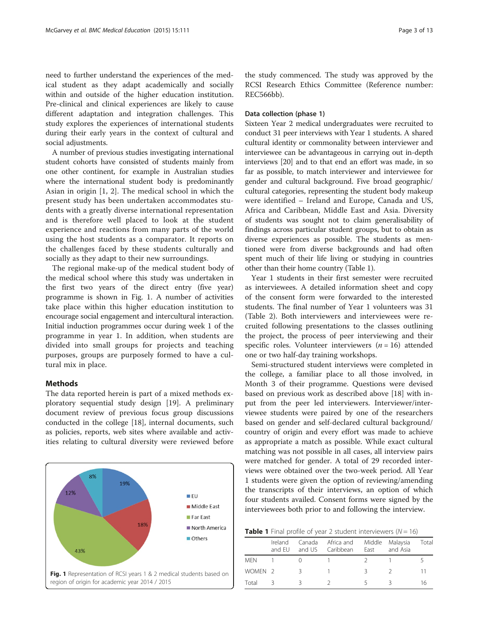need to further understand the experiences of the medical student as they adapt academically and socially within and outside of the higher education institution. Pre-clinical and clinical experiences are likely to cause different adaptation and integration challenges. This study explores the experiences of international students during their early years in the context of cultural and social adjustments.

A number of previous studies investigating international student cohorts have consisted of students mainly from one other continent, for example in Australian studies where the international student body is predominantly Asian in origin [[1, 2](#page-12-0)]. The medical school in which the present study has been undertaken accommodates students with a greatly diverse international representation and is therefore well placed to look at the student experience and reactions from many parts of the world using the host students as a comparator. It reports on the challenges faced by these students culturally and socially as they adapt to their new surroundings.

The regional make-up of the medical student body of the medical school where this study was undertaken in the first two years of the direct entry (five year) programme is shown in Fig. 1. A number of activities take place within this higher education institution to encourage social engagement and intercultural interaction. Initial induction programmes occur during week 1 of the programme in year 1. In addition, when students are divided into small groups for projects and teaching purposes, groups are purposely formed to have a cultural mix in place.

# **Methods**

The data reported herein is part of a mixed methods exploratory sequential study design [[19\]](#page-12-0). A preliminary document review of previous focus group discussions conducted in the college [\[18](#page-12-0)], internal documents, such as policies, reports, web sites where available and activities relating to cultural diversity were reviewed before



the study commenced. The study was approved by the RCSI Research Ethics Committee (Reference number: REC566bb).

#### Data collection (phase 1)

Sixteen Year 2 medical undergraduates were recruited to conduct 31 peer interviews with Year 1 students. A shared cultural identity or commonality between interviewer and interviewee can be advantageous in carrying out in-depth interviews [[20](#page-12-0)] and to that end an effort was made, in so far as possible, to match interviewer and interviewee for gender and cultural background. Five broad geographic/ cultural categories, representing the student body makeup were identified – Ireland and Europe, Canada and US, Africa and Caribbean, Middle East and Asia. Diversity of students was sought not to claim generalisability of findings across particular student groups, but to obtain as diverse experiences as possible. The students as mentioned were from diverse backgrounds and had often spent much of their life living or studying in countries other than their home country (Table 1).

Year 1 students in their first semester were recruited as interviewees. A detailed information sheet and copy of the consent form were forwarded to the interested students. The final number of Year 1 volunteers was 31 (Table [2\)](#page-3-0). Both interviewers and interviewees were recruited following presentations to the classes outlining the project, the process of peer interviewing and their specific roles. Volunteer interviewers  $(n = 16)$  attended one or two half-day training workshops.

Semi-structured student interviews were completed in the college, a familiar place to all those involved, in Month 3 of their programme. Questions were devised based on previous work as described above [[18\]](#page-12-0) with input from the peer led interviewers. Interviewer/interviewee students were paired by one of the researchers based on gender and self-declared cultural background/ country of origin and every effort was made to achieve as appropriate a match as possible. While exact cultural matching was not possible in all cases, all interview pairs were matched for gender. A total of 29 recorded interviews were obtained over the two-week period. All Year 1 students were given the option of reviewing/amending the transcripts of their interviews, an option of which four students availed. Consent forms were signed by the interviewees both prior to and following the interview.

**Table 1** Final profile of year 2 student interviewers ( $N = 16$ )

|                    | Ireland<br>and FU |    | Canada Africa and Middle Malaysia<br>and US Caribbean | East | and Asia | Total |
|--------------------|-------------------|----|-------------------------------------------------------|------|----------|-------|
| <b>MFN</b>         |                   |    |                                                       |      |          |       |
| WOMEN <sub>2</sub> |                   | -3 |                                                       | 2    |          | 11    |
| Total              |                   |    |                                                       |      |          | 16    |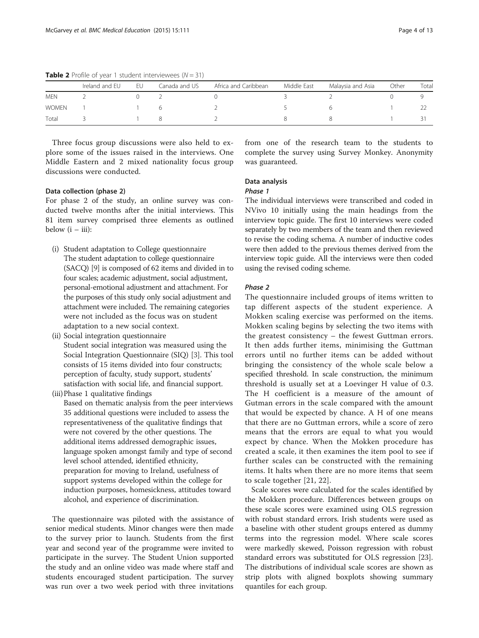|              | Ireland and EU | EU | Canada and US | Africa and Caribbean | Middle East | Malaysia and Asia | Other | Total |
|--------------|----------------|----|---------------|----------------------|-------------|-------------------|-------|-------|
| <b>MEN</b>   |                |    |               |                      |             |                   |       |       |
| <b>WOMEN</b> |                |    |               |                      |             |                   |       |       |
| Total        |                |    |               |                      |             |                   |       |       |

<span id="page-3-0"></span>**Table 2** Profile of year 1 student interviewees ( $N = 31$ )

Three focus group discussions were also held to explore some of the issues raised in the interviews. One Middle Eastern and 2 mixed nationality focus group discussions were conducted.

# Data collection (phase 2)

For phase 2 of the study, an online survey was conducted twelve months after the initial interviews. This 81 item survey comprised three elements as outlined below  $(i - iii)$ :

- (i) Student adaptation to College questionnaire The student adaptation to college questionnaire (SACQ) [\[9](#page-12-0)] is composed of 62 items and divided in to four scales; academic adjustment, social adjustment, personal-emotional adjustment and attachment. For the purposes of this study only social adjustment and attachment were included. The remaining categories were not included as the focus was on student adaptation to a new social context.
- (ii) Social integration questionnaire Student social integration was measured using the Social Integration Questionnaire (SIQ) [[3\]](#page-12-0). This tool consists of 15 items divided into four constructs; perception of faculty, study support, students' satisfaction with social life, and financial support.
- (iii)Phase 1 qualitative findings Based on thematic analysis from the peer interviews 35 additional questions were included to assess the representativeness of the qualitative findings that were not covered by the other questions. The additional items addressed demographic issues, language spoken amongst family and type of second level school attended, identified ethnicity, preparation for moving to Ireland, usefulness of support systems developed within the college for induction purposes, homesickness, attitudes toward alcohol, and experience of discrimination.

The questionnaire was piloted with the assistance of senior medical students. Minor changes were then made to the survey prior to launch. Students from the first year and second year of the programme were invited to participate in the survey. The Student Union supported the study and an online video was made where staff and students encouraged student participation. The survey was run over a two week period with three invitations

from one of the research team to the students to complete the survey using Survey Monkey. Anonymity was guaranteed.

# Data analysis

#### Phase 1

The individual interviews were transcribed and coded in NVivo 10 initially using the main headings from the interview topic guide. The first 10 interviews were coded separately by two members of the team and then reviewed to revise the coding schema. A number of inductive codes were then added to the previous themes derived from the interview topic guide. All the interviews were then coded using the revised coding scheme.

## Phase 2

The questionnaire included groups of items written to tap different aspects of the student experience. A Mokken scaling exercise was performed on the items. Mokken scaling begins by selecting the two items with the greatest consistency – the fewest Guttman errors. It then adds further items, minimising the Guttman errors until no further items can be added without bringing the consistency of the whole scale below a specified threshold. In scale construction, the minimum threshold is usually set at a Loevinger H value of 0.3. The H coefficient is a measure of the amount of Gutman errors in the scale compared with the amount that would be expected by chance. A H of one means that there are no Guttman errors, while a score of zero means that the errors are equal to what you would expect by chance. When the Mokken procedure has created a scale, it then examines the item pool to see if further scales can be constructed with the remaining items. It halts when there are no more items that seem to scale together [[21](#page-12-0), [22](#page-12-0)].

Scale scores were calculated for the scales identified by the Mokken procedure. Differences between groups on these scale scores were examined using OLS regression with robust standard errors. Irish students were used as a baseline with other student groups entered as dummy terms into the regression model. Where scale scores were markedly skewed, Poisson regression with robust standard errors was substituted for OLS regression [\[23](#page-12-0)]. The distributions of individual scale scores are shown as strip plots with aligned boxplots showing summary quantiles for each group.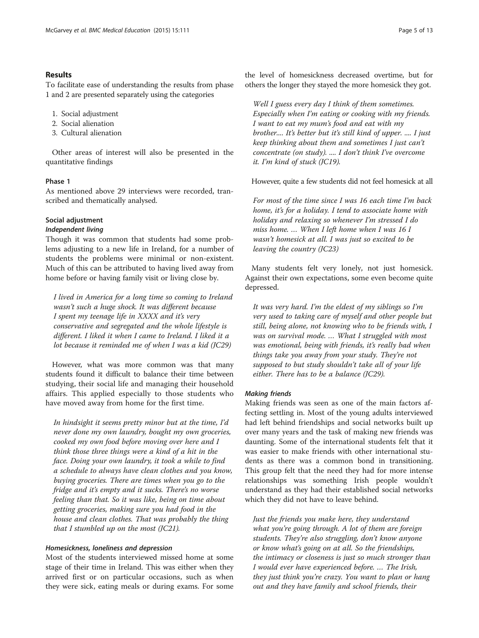# Results

To facilitate ease of understanding the results from phase 1 and 2 are presented separately using the categories

- 1. Social adjustment
- 2. Social alienation
- 3. Cultural alienation

Other areas of interest will also be presented in the quantitative findings

# Phase 1

As mentioned above 29 interviews were recorded, transcribed and thematically analysed.

# Social adjustment

# Independent living

Though it was common that students had some problems adjusting to a new life in Ireland, for a number of students the problems were minimal or non-existent. Much of this can be attributed to having lived away from home before or having family visit or living close by.

I lived in America for a long time so coming to Ireland wasn't such a huge shock. It was different because I spent my teenage life in XXXX and it's very conservative and segregated and the whole lifestyle is different. I liked it when I came to Ireland. I liked it a lot because it reminded me of when I was a kid (JC29)

However, what was more common was that many students found it difficult to balance their time between studying, their social life and managing their household affairs. This applied especially to those students who have moved away from home for the first time.

In hindsight it seems pretty minor but at the time, I'd never done my own laundry, bought my own groceries, cooked my own food before moving over here and I think those three things were a kind of a hit in the face. Doing your own laundry, it took a while to find a schedule to always have clean clothes and you know, buying groceries. There are times when you go to the fridge and it's empty and it sucks. There's no worse feeling than that. So it was like, being on time about getting groceries, making sure you had food in the house and clean clothes. That was probably the thing that I stumbled up on the most  $(JC21)$ .

#### Homesickness, loneliness and depression

Most of the students interviewed missed home at some stage of their time in Ireland. This was either when they arrived first or on particular occasions, such as when they were sick, eating meals or during exams. For some

the level of homesickness decreased overtime, but for others the longer they stayed the more homesick they got.

Well I guess every day I think of them sometimes. Especially when I'm eating or cooking with my friends. I want to eat my mum's food and eat with my brother.... It's better but it's still kind of upper. .... I just keep thinking about them and sometimes I just can't concentrate (on study). .... I don't think I've overcome it. I'm kind of stuck (JC19).

However, quite a few students did not feel homesick at all

For most of the time since I was 16 each time I'm back home, it's for a holiday. I tend to associate home with holiday and relaxing so whenever I'm stressed I do miss home. … When I left home when I was 16 I wasn't homesick at all. I was just so excited to be leaving the country (JC23)

Many students felt very lonely, not just homesick. Against their own expectations, some even become quite depressed.

It was very hard. I'm the eldest of my siblings so I'm very used to taking care of myself and other people but still, being alone, not knowing who to be friends with, I was on survival mode. … What I struggled with most was emotional, being with friends, it's really bad when things take you away from your study. They're not supposed to but study shouldn't take all of your life either. There has to be a balance (JC29).

## Making friends

Making friends was seen as one of the main factors affecting settling in. Most of the young adults interviewed had left behind friendships and social networks built up over many years and the task of making new friends was daunting. Some of the international students felt that it was easier to make friends with other international students as there was a common bond in transitioning. This group felt that the need they had for more intense relationships was something Irish people wouldn't understand as they had their established social networks which they did not have to leave behind.

Just the friends you make here, they understand what you're going through. A lot of them are foreign students. They're also struggling, don't know anyone or know what's going on at all. So the friendships, the intimacy or closeness is just so much stronger than I would ever have experienced before. … The Irish, they just think you're crazy. You want to plan or hang out and they have family and school friends, their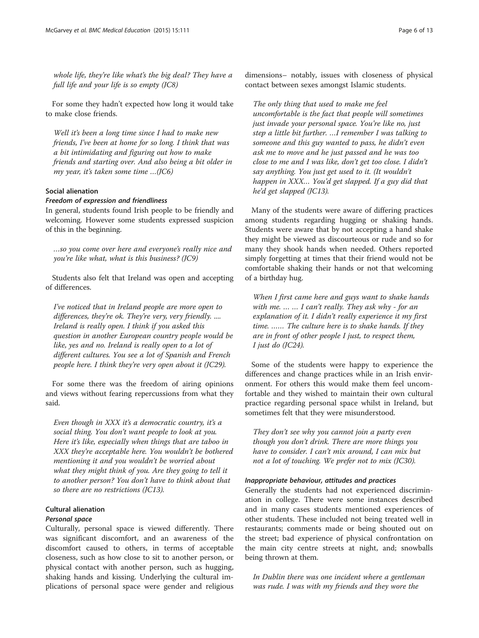whole life, they're like what's the big deal? They have a full life and your life is so empty (JC8)

For some they hadn't expected how long it would take to make close friends.

Well it's been a long time since I had to make new friends, I've been at home for so long. I think that was a bit intimidating and figuring out how to make friends and starting over. And also being a bit older in my year, it's taken some time …(JC6)

# Social alienation

# Freedom of expression and friendliness

In general, students found Irish people to be friendly and welcoming. However some students expressed suspicion of this in the beginning.

…so you come over here and everyone's really nice and you're like what, what is this business? (JC9)

Students also felt that Ireland was open and accepting of differences.

I've noticed that in Ireland people are more open to differences, they're ok. They're very, very friendly. .... Ireland is really open. I think if you asked this question in another European country people would be like, yes and no. Ireland is really open to a lot of different cultures. You see a lot of Spanish and French people here. I think they're very open about it (JC29).

For some there was the freedom of airing opinions and views without fearing repercussions from what they said.

Even though in XXX it's a democratic country, it's a social thing. You don't want people to look at you. Here it's like, especially when things that are taboo in XXX they're acceptable here. You wouldn't be bothered mentioning it and you wouldn't be worried about what they might think of you. Are they going to tell it to another person? You don't have to think about that so there are no restrictions (JC13).

# Cultural alienation Personal space

Culturally, personal space is viewed differently. There was significant discomfort, and an awareness of the discomfort caused to others, in terms of acceptable closeness, such as how close to sit to another person, or physical contact with another person, such as hugging, shaking hands and kissing. Underlying the cultural implications of personal space were gender and religious dimensions– notably, issues with closeness of physical contact between sexes amongst Islamic students.

The only thing that used to make me feel uncomfortable is the fact that people will sometimes just invade your personal space. You're like no, just step a little bit further. …I remember I was talking to someone and this guy wanted to pass, he didn't even ask me to move and he just passed and he was too close to me and I was like, don't get too close. I didn't say anything. You just get used to it. (It wouldn't happen in XXX… You'd get slapped. If a guy did that he'd get slapped (JC13).

Many of the students were aware of differing practices among students regarding hugging or shaking hands. Students were aware that by not accepting a hand shake they might be viewed as discourteous or rude and so for many they shook hands when needed. Others reported simply forgetting at times that their friend would not be comfortable shaking their hands or not that welcoming of a birthday hug.

When I first came here and guys want to shake hands with me. ... ... I can't really. They ask why - for an explanation of it. I didn't really experience it my first time. …… The culture here is to shake hands. If they are in front of other people I just, to respect them, I just do (JC24).

Some of the students were happy to experience the differences and change practices while in an Irish environment. For others this would make them feel uncomfortable and they wished to maintain their own cultural practice regarding personal space whilst in Ireland, but sometimes felt that they were misunderstood.

They don't see why you cannot join a party even though you don't drink. There are more things you have to consider. I can't mix around, I can mix but not a lot of touching. We prefer not to mix (JC30).

#### Inappropriate behaviour, attitudes and practices

Generally the students had not experienced discrimination in college. There were some instances described and in many cases students mentioned experiences of other students. These included not being treated well in restaurants; comments made or being shouted out on the street; bad experience of physical confrontation on the main city centre streets at night, and; snowballs being thrown at them.

In Dublin there was one incident where a gentleman was rude. I was with my friends and they wore the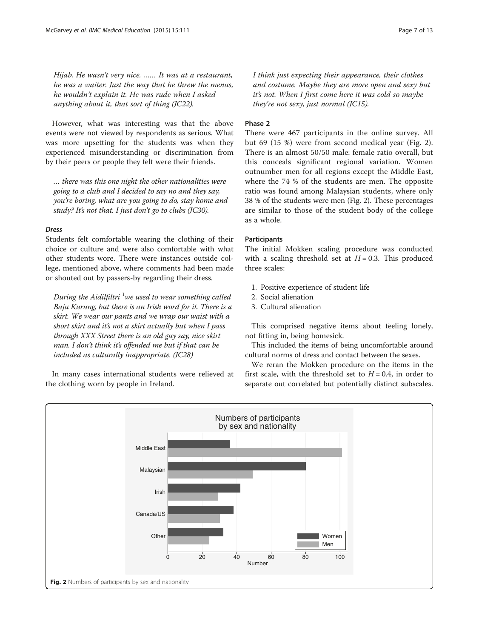Hijab. He wasn't very nice. …… It was at a restaurant, he was a waiter. Just the way that he threw the menus, he wouldn't explain it. He was rude when I asked anything about it, that sort of thing (JC22).

However, what was interesting was that the above events were not viewed by respondents as serious. What was more upsetting for the students was when they experienced misunderstanding or discrimination from by their peers or people they felt were their friends.

… there was this one night the other nationalities were going to a club and I decided to say no and they say, you're boring, what are you going to do, stay home and study? It's not that. I just don't go to clubs (JC30).

# Dress

Students felt comfortable wearing the clothing of their choice or culture and were also comfortable with what other students wore. There were instances outside college, mentioned above, where comments had been made or shouted out by passers-by regarding their dress.

During the Aidilfiltri  $^1$ we used to wear something called Baju Kurung, but there is an Irish word for it. There is a skirt. We wear our pants and we wrap our waist with a short skirt and it's not a skirt actually but when I pass through XXX Street there is an old guy say, nice skirt man. I don't think it's offended me but if that can be included as culturally inappropriate. (JC28)

In many cases international students were relieved at the clothing worn by people in Ireland.

I think just expecting their appearance, their clothes and costume. Maybe they are more open and sexy but it's not. When I first come here it was cold so maybe they're not sexy, just normal (JC15).

# Phase 2

There were 467 participants in the online survey. All but 69 (15 %) were from second medical year (Fig. 2). There is an almost 50/50 male: female ratio overall, but this conceals significant regional variation. Women outnumber men for all regions except the Middle East, where the 74 % of the students are men. The opposite ratio was found among Malaysian students, where only 38 % of the students were men (Fig. 2). These percentages are similar to those of the student body of the college as a whole.

# Participants

The initial Mokken scaling procedure was conducted with a scaling threshold set at  $H = 0.3$ . This produced three scales:

- 1. Positive experience of student life
- 2. Social alienation
- 3. Cultural alienation

This comprised negative items about feeling lonely, not fitting in, being homesick.

This included the items of being uncomfortable around cultural norms of dress and contact between the sexes.

We reran the Mokken procedure on the items in the first scale, with the threshold set to  $H = 0.4$ , in order to separate out correlated but potentially distinct subscales.

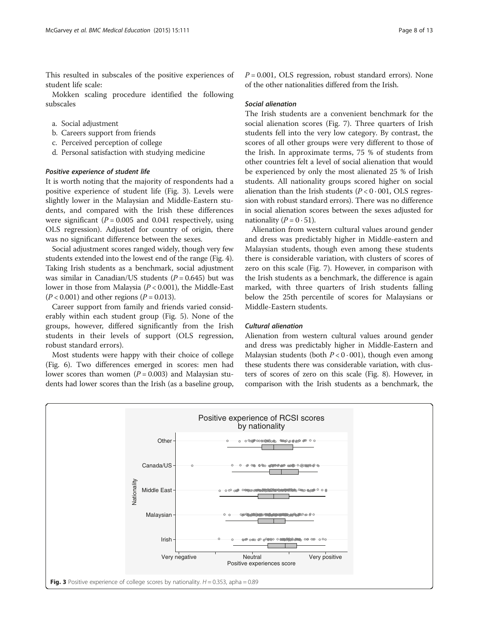This resulted in subscales of the positive experiences of student life scale:

Mokken scaling procedure identified the following subscales

- a. Social adjustment
- b. Careers support from friends
- c. Perceived perception of college
- d. Personal satisfaction with studying medicine

#### Positive experience of student life

It is worth noting that the majority of respondents had a positive experience of student life (Fig. 3). Levels were slightly lower in the Malaysian and Middle-Eastern students, and compared with the Irish these differences were significant ( $P = 0.005$  and 0.041 respectively, using OLS regression). Adjusted for country of origin, there was no significant difference between the sexes.

Social adjustment scores ranged widely, though very few students extended into the lowest end of the range (Fig. [4](#page-8-0)). Taking Irish students as a benchmark, social adjustment was similar in Canadian/US students  $(P = 0.645)$  but was lower in those from Malaysia  $(P < 0.001)$ , the Middle-East  $(P < 0.001)$  and other regions  $(P = 0.013)$ .

Career support from family and friends varied considerably within each student group (Fig. [5\)](#page-8-0). None of the groups, however, differed significantly from the Irish students in their levels of support (OLS regression, robust standard errors).

Most students were happy with their choice of college (Fig. [6](#page-9-0)). Two differences emerged in scores: men had lower scores than women  $(P = 0.003)$  and Malaysian students had lower scores than the Irish (as a baseline group,  $P = 0.001$ , OLS regression, robust standard errors). None of the other nationalities differed from the Irish.

# Social alienation

The Irish students are a convenient benchmark for the social alienation scores (Fig. [7](#page-9-0)). Three quarters of Irish students fell into the very low category. By contrast, the scores of all other groups were very different to those of the Irish. In approximate terms, 75 % of students from other countries felt a level of social alienation that would be experienced by only the most alienated 25 % of Irish students. All nationality groups scored higher on social alienation than the Irish students  $(P < 0.001, OLS$  regression with robust standard errors). There was no difference in social alienation scores between the sexes adjusted for nationality ( $P = 0.51$ ).

Alienation from western cultural values around gender and dress was predictably higher in Middle-eastern and Malaysian students, though even among these students there is considerable variation, with clusters of scores of zero on this scale (Fig. [7](#page-9-0)). However, in comparison with the Irish students as a benchmark, the difference is again marked, with three quarters of Irish students falling below the 25th percentile of scores for Malaysians or Middle-Eastern students.

# Cultural alienation

Alienation from western cultural values around gender and dress was predictably higher in Middle-Eastern and Malaysian students (both  $P < 0.001$ ), though even among these students there was considerable variation, with clusters of scores of zero on this scale (Fig. [8](#page-10-0)). However, in comparison with the Irish students as a benchmark, the

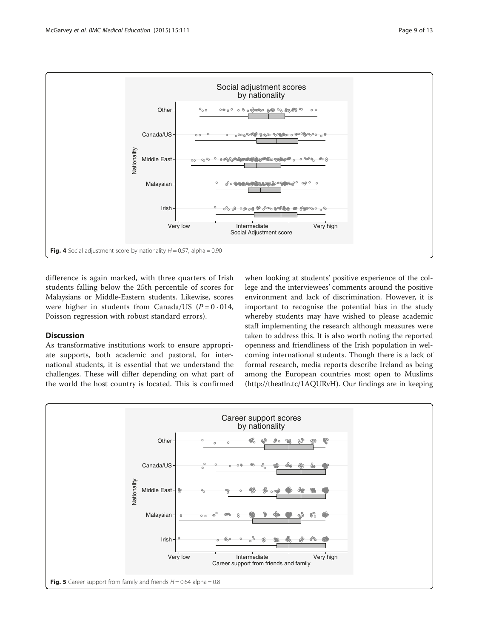<span id="page-8-0"></span>

difference is again marked, with three quarters of Irish students falling below the 25th percentile of scores for Malaysians or Middle-Eastern students. Likewise, scores were higher in students from Canada/US ( $P = 0.014$ , Poisson regression with robust standard errors).

# **Discussion**

As transformative institutions work to ensure appropriate supports, both academic and pastoral, for international students, it is essential that we understand the challenges. These will differ depending on what part of the world the host country is located. This is confirmed

when looking at students' positive experience of the college and the interviewees' comments around the positive environment and lack of discrimination. However, it is important to recognise the potential bias in the study whereby students may have wished to please academic staff implementing the research although measures were taken to address this. It is also worth noting the reported openness and friendliness of the Irish population in welcoming international students. Though there is a lack of formal research, media reports describe Ireland as being among the European countries most open to Muslims ([http://theatln.tc/1AQURvH\)](http://theatln.tc/1AQURvH). Our findings are in keeping

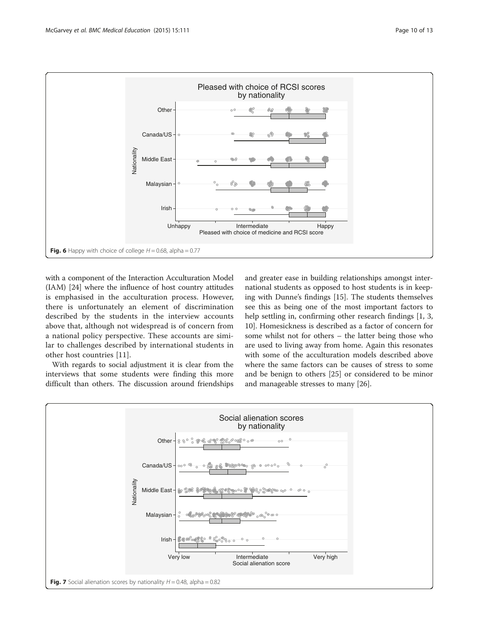<span id="page-9-0"></span>

with a component of the Interaction Acculturation Model (IAM) [[24](#page-12-0)] where the influence of host country attitudes is emphasised in the acculturation process. However, there is unfortunately an element of discrimination described by the students in the interview accounts above that, although not widespread is of concern from a national policy perspective. These accounts are similar to challenges described by international students in other host countries [\[11](#page-12-0)].

With regards to social adjustment it is clear from the interviews that some students were finding this more difficult than others. The discussion around friendships and greater ease in building relationships amongst international students as opposed to host students is in keeping with Dunne's findings [[15\]](#page-12-0). The students themselves see this as being one of the most important factors to help settling in, confirming other research findings [\[1](#page-12-0), [3](#page-12-0), [10\]](#page-12-0). Homesickness is described as a factor of concern for some whilst not for others – the latter being those who are used to living away from home. Again this resonates with some of the acculturation models described above where the same factors can be causes of stress to some and be benign to others [[25\]](#page-12-0) or considered to be minor and manageable stresses to many [\[26\]](#page-12-0).

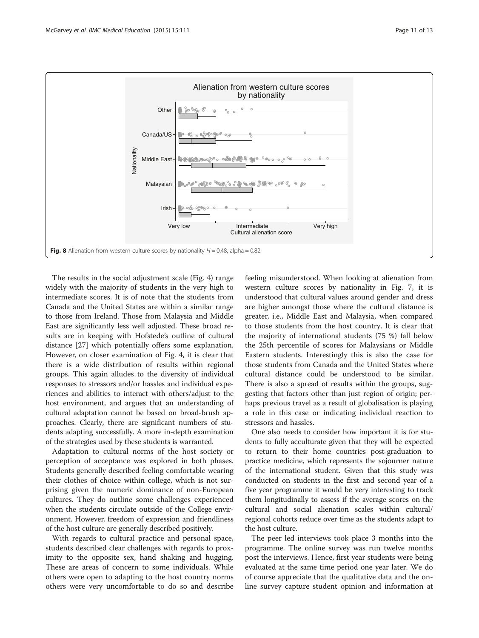<span id="page-10-0"></span>

The results in the social adjustment scale (Fig. [4\)](#page-8-0) range widely with the majority of students in the very high to intermediate scores. It is of note that the students from Canada and the United States are within a similar range to those from Ireland. Those from Malaysia and Middle East are significantly less well adjusted. These broad results are in keeping with Hofstede's outline of cultural distance [\[27\]](#page-12-0) which potentially offers some explanation. However, on closer examination of Fig. [4](#page-8-0), it is clear that there is a wide distribution of results within regional groups. This again alludes to the diversity of individual responses to stressors and/or hassles and individual experiences and abilities to interact with others/adjust to the host environment, and argues that an understanding of cultural adaptation cannot be based on broad-brush approaches. Clearly, there are significant numbers of students adapting successfully. A more in-depth examination of the strategies used by these students is warranted.

Adaptation to cultural norms of the host society or perception of acceptance was explored in both phases. Students generally described feeling comfortable wearing their clothes of choice within college, which is not surprising given the numeric dominance of non-European cultures. They do outline some challenges experienced when the students circulate outside of the College environment. However, freedom of expression and friendliness of the host culture are generally described positively.

With regards to cultural practice and personal space, students described clear challenges with regards to proximity to the opposite sex, hand shaking and hugging. These are areas of concern to some individuals. While others were open to adapting to the host country norms others were very uncomfortable to do so and describe

feeling misunderstood. When looking at alienation from western culture scores by nationality in Fig. [7](#page-9-0), it is understood that cultural values around gender and dress are higher amongst those where the cultural distance is greater, i.e., Middle East and Malaysia, when compared to those students from the host country. It is clear that the majority of international students (75 %) fall below the 25th percentile of scores for Malaysians or Middle Eastern students. Interestingly this is also the case for those students from Canada and the United States where cultural distance could be understood to be similar. There is also a spread of results within the groups, suggesting that factors other than just region of origin; perhaps previous travel as a result of globalisation is playing a role in this case or indicating individual reaction to stressors and hassles.

One also needs to consider how important it is for students to fully acculturate given that they will be expected to return to their home countries post-graduation to practice medicine, which represents the sojourner nature of the international student. Given that this study was conducted on students in the first and second year of a five year programme it would be very interesting to track them longitudinally to assess if the average scores on the cultural and social alienation scales within cultural/ regional cohorts reduce over time as the students adapt to the host culture.

The peer led interviews took place 3 months into the programme. The online survey was run twelve months post the interviews. Hence, first year students were being evaluated at the same time period one year later. We do of course appreciate that the qualitative data and the online survey capture student opinion and information at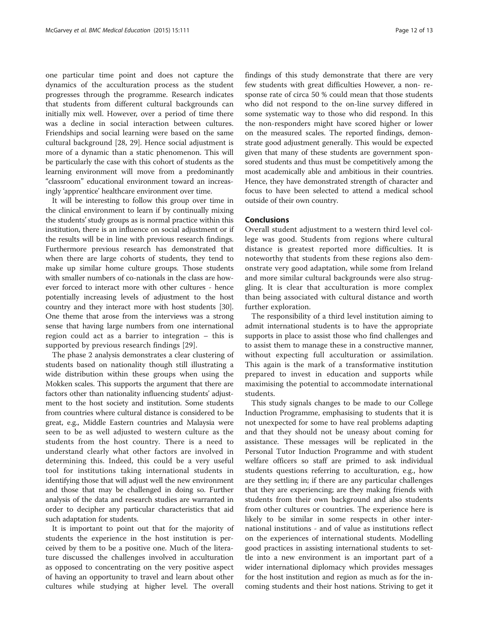one particular time point and does not capture the dynamics of the acculturation process as the student progresses through the programme. Research indicates that students from different cultural backgrounds can initially mix well. However, over a period of time there was a decline in social interaction between cultures. Friendships and social learning were based on the same cultural background [\[28, 29](#page-12-0)]. Hence social adjustment is more of a dynamic than a static phenomenon. This will be particularly the case with this cohort of students as the learning environment will move from a predominantly "classroom" educational environment toward an increasingly 'apprentice' healthcare environment over time.

It will be interesting to follow this group over time in the clinical environment to learn if by continually mixing the students' study groups as is normal practice within this institution, there is an influence on social adjustment or if the results will be in line with previous research findings. Furthermore previous research has demonstrated that when there are large cohorts of students, they tend to make up similar home culture groups. Those students with smaller numbers of co-nationals in the class are however forced to interact more with other cultures - hence potentially increasing levels of adjustment to the host country and they interact more with host students [[30](#page-12-0)]. One theme that arose from the interviews was a strong sense that having large numbers from one international region could act as a barrier to integration – this is supported by previous research findings [[29](#page-12-0)].

The phase 2 analysis demonstrates a clear clustering of students based on nationality though still illustrating a wide distribution within these groups when using the Mokken scales. This supports the argument that there are factors other than nationality influencing students' adjustment to the host society and institution. Some students from countries where cultural distance is considered to be great, e.g., Middle Eastern countries and Malaysia were seen to be as well adjusted to western culture as the students from the host country. There is a need to understand clearly what other factors are involved in determining this. Indeed, this could be a very useful tool for institutions taking international students in identifying those that will adjust well the new environment and those that may be challenged in doing so. Further analysis of the data and research studies are warranted in order to decipher any particular characteristics that aid such adaptation for students.

It is important to point out that for the majority of students the experience in the host institution is perceived by them to be a positive one. Much of the literature discussed the challenges involved in acculturation as opposed to concentrating on the very positive aspect of having an opportunity to travel and learn about other cultures while studying at higher level. The overall findings of this study demonstrate that there are very few students with great difficulties However, a non- response rate of circa 50 % could mean that those students who did not respond to the on-line survey differed in some systematic way to those who did respond. In this the non-responders might have scored higher or lower on the measured scales. The reported findings, demonstrate good adjustment generally. This would be expected given that many of these students are government sponsored students and thus must be competitively among the most academically able and ambitious in their countries. Hence, they have demonstrated strength of character and focus to have been selected to attend a medical school outside of their own country.

#### Conclusions

Overall student adjustment to a western third level college was good. Students from regions where cultural distance is greatest reported more difficulties. It is noteworthy that students from these regions also demonstrate very good adaptation, while some from Ireland and more similar cultural backgrounds were also struggling. It is clear that acculturation is more complex than being associated with cultural distance and worth further exploration.

The responsibility of a third level institution aiming to admit international students is to have the appropriate supports in place to assist those who find challenges and to assist them to manage these in a constructive manner, without expecting full acculturation or assimilation. This again is the mark of a transformative institution prepared to invest in education and supports while maximising the potential to accommodate international students.

This study signals changes to be made to our College Induction Programme, emphasising to students that it is not unexpected for some to have real problems adapting and that they should not be uneasy about coming for assistance. These messages will be replicated in the Personal Tutor Induction Programme and with student welfare officers so staff are primed to ask individual students questions referring to acculturation, e.g., how are they settling in; if there are any particular challenges that they are experiencing; are they making friends with students from their own background and also students from other cultures or countries. The experience here is likely to be similar in some respects in other international institutions - and of value as institutions reflect on the experiences of international students. Modelling good practices in assisting international students to settle into a new environment is an important part of a wider international diplomacy which provides messages for the host institution and region as much as for the incoming students and their host nations. Striving to get it